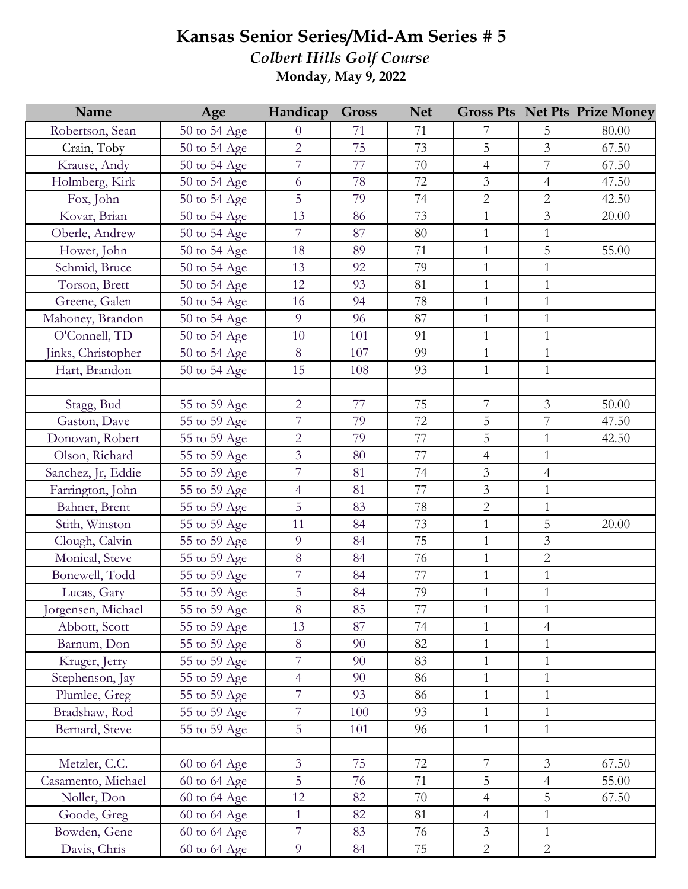## **Kansas Senior Series/Mid-Am Series # 5** *Colbert Hills Golf Course* **Monday, May 9, 2022**

| Name               | Age          | Handicap       | <b>Gross</b> | <b>Net</b> |                |                | <b>Gross Pts Net Pts Prize Money</b> |
|--------------------|--------------|----------------|--------------|------------|----------------|----------------|--------------------------------------|
| Robertson, Sean    | 50 to 54 Age | $\overline{0}$ | 71           | 71         | 7              | 5              | 80.00                                |
| Crain, Toby        | 50 to 54 Age | $\overline{2}$ | 75           | 73         | 5              | $\overline{3}$ | 67.50                                |
| Krause, Andy       | 50 to 54 Age | $\overline{7}$ | 77           | 70         | $\overline{4}$ | 7              | 67.50                                |
| Holmberg, Kirk     | 50 to 54 Age | 6              | 78           | 72         | 3              | $\overline{4}$ | 47.50                                |
| Fox, John          | 50 to 54 Age | 5              | 79           | 74         | $\overline{2}$ | $\overline{2}$ | 42.50                                |
| Kovar, Brian       | 50 to 54 Age | 13             | 86           | 73         | $\mathbf{1}$   | $\overline{3}$ | 20.00                                |
| Oberle, Andrew     | 50 to 54 Age | $\overline{7}$ | 87           | 80         | $\mathbf{1}$   | $\mathbf{1}$   |                                      |
| Hower, John        | 50 to 54 Age | 18             | 89           | 71         | $\mathbf{1}$   | 5              | 55.00                                |
| Schmid, Bruce      | 50 to 54 Age | 13             | 92           | 79         | $\mathbf{1}$   | $\mathbf{1}$   |                                      |
| Torson, Brett      | 50 to 54 Age | 12             | 93           | 81         | $\mathbf{1}$   | $\mathbf{1}$   |                                      |
| Greene, Galen      | 50 to 54 Age | 16             | 94           | 78         | $\mathbf{1}$   | $\mathbf{1}$   |                                      |
| Mahoney, Brandon   | 50 to 54 Age | 9              | 96           | 87         | $\mathbf{1}$   | $\mathbf{1}$   |                                      |
| O'Connell, TD      | 50 to 54 Age | 10             | 101          | 91         | $\mathbf{1}$   | $\mathbf{1}$   |                                      |
| Jinks, Christopher | 50 to 54 Age | 8              | 107          | 99         | $\mathbf{1}$   | $\mathbf{1}$   |                                      |
| Hart, Brandon      | 50 to 54 Age | 15             | 108          | 93         | $\mathbf{1}$   | $\mathbf{1}$   |                                      |
|                    |              |                |              |            |                |                |                                      |
| Stagg, Bud         | 55 to 59 Age | $\overline{2}$ | 77           | 75         | $\overline{7}$ | $\overline{3}$ | 50.00                                |
| Gaston, Dave       | 55 to 59 Age | $\overline{7}$ | 79           | 72         | 5              | $\overline{7}$ | 47.50                                |
| Donovan, Robert    | 55 to 59 Age | $\overline{2}$ | 79           | 77         | 5              | $\mathbf{1}$   | 42.50                                |
| Olson, Richard     | 55 to 59 Age | 3              | $80\,$       | 77         | $\overline{4}$ | $\mathbf{1}$   |                                      |
| Sanchez, Jr, Eddie | 55 to 59 Age | $\overline{7}$ | 81           | 74         | $\mathfrak{Z}$ | $\overline{4}$ |                                      |
| Farrington, John   | 55 to 59 Age | $\overline{4}$ | 81           | 77         | 3              | $\mathbf{1}$   |                                      |
| Bahner, Brent      | 55 to 59 Age | 5              | 83           | 78         | $\overline{2}$ | $\mathbf{1}$   |                                      |
| Stith, Winston     | 55 to 59 Age | 11             | 84           | 73         | $\mathbf{1}$   | 5              | 20.00                                |
| Clough, Calvin     | 55 to 59 Age | 9              | 84           | 75         | $\mathbf{1}$   | $\overline{3}$ |                                      |
| Monical, Steve     | 55 to 59 Age | 8              | 84           | 76         | $\mathbf{1}$   | $\overline{2}$ |                                      |
| Bonewell, Todd     | 55 to 59 Age | $\overline{7}$ | 84           | 77         | $\mathbf{1}$   | $\mathbf{1}$   |                                      |
| Lucas, Gary        | 55 to 59 Age | 5              | 84           | 79         | $\mathbf{1}$   | $\mathbf{1}$   |                                      |
| Jorgensen, Michael | 55 to 59 Age | 8              | 85           | $77\,$     | $\mathbf{1}$   | $\mathbf{1}$   |                                      |
| Abbott, Scott      | 55 to 59 Age | 13             | 87           | 74         | $\mathbf{1}$   | $\overline{4}$ |                                      |
| Barnum, Don        | 55 to 59 Age | $\, 8$         | 90           | 82         | $\mathbf{1}$   | 1              |                                      |
| Kruger, Jerry      | 55 to 59 Age | 7              | 90           | 83         | $\mathbf{1}$   | 1              |                                      |
| Stephenson, Jay    | 55 to 59 Age | $\overline{4}$ | 90           | 86         | $\mathbf{1}$   | $\mathbf{1}$   |                                      |
| Plumlee, Greg      | 55 to 59 Age | $\overline{7}$ | 93           | 86         | $\mathbf{1}$   | $\mathbf{1}$   |                                      |
| Bradshaw, Rod      | 55 to 59 Age | $\overline{7}$ | 100          | 93         | $\mathbf{1}$   | $\mathbf{1}$   |                                      |
| Bernard, Steve     | 55 to 59 Age | 5              | 101          | 96         | $\mathbf{1}$   | $\mathbf{1}$   |                                      |
|                    |              |                |              |            |                |                |                                      |
| Metzler, C.C.      | 60 to 64 Age | $\overline{3}$ | 75           | 72         | $\overline{7}$ | $\overline{3}$ | 67.50                                |
| Casamento, Michael | 60 to 64 Age | $\overline{5}$ | 76           | 71         | 5              | $\overline{4}$ | 55.00                                |
| Noller, Don        | 60 to 64 Age | 12             | 82           | 70         | $\overline{4}$ | 5              | 67.50                                |
| Goode, Greg        | 60 to 64 Age | $\mathbf{1}$   | 82           | 81         | $\overline{4}$ | 1              |                                      |
| Bowden, Gene       | 60 to 64 Age | $\overline{7}$ | 83           | 76         | $\overline{3}$ | $\mathbf{1}$   |                                      |
| Davis, Chris       | 60 to 64 Age | $\overline{9}$ | 84           | 75         | $\overline{2}$ | $\overline{2}$ |                                      |
|                    |              |                |              |            |                |                |                                      |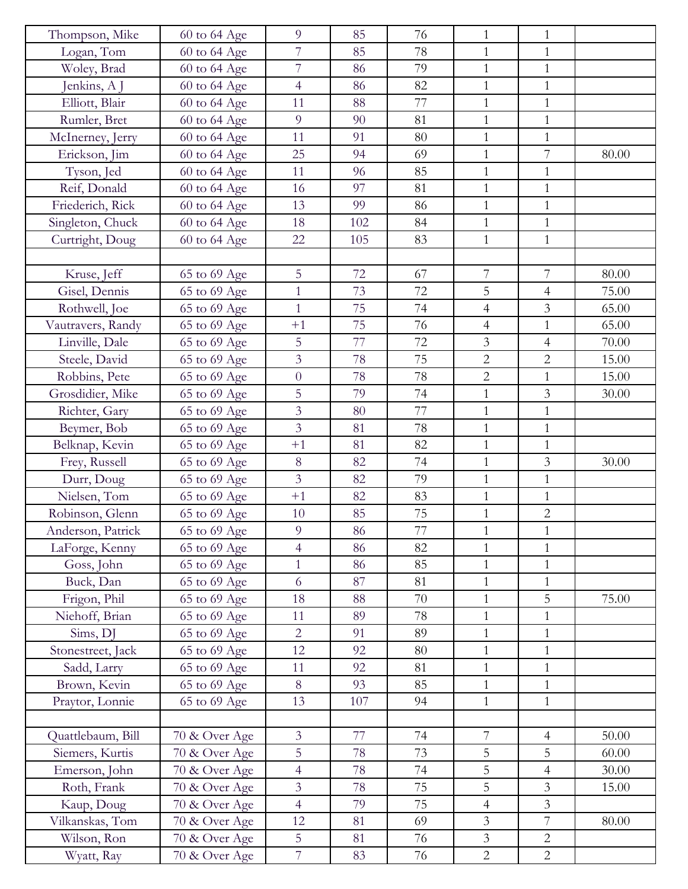| Thompson, Mike    | 60 to 64 Age  | 9              | 85  | 76 | $\mathbf{1}$   | $\mathbf{1}$   |       |
|-------------------|---------------|----------------|-----|----|----------------|----------------|-------|
| Logan, Tom        | 60 to 64 Age  | $\overline{7}$ | 85  | 78 | $\mathbf{1}$   | $\mathbf{1}$   |       |
| Woley, Brad       | 60 to 64 Age  | $\overline{7}$ | 86  | 79 | $\mathbf{1}$   | $\mathbf{1}$   |       |
| Jenkins, A J      | 60 to 64 Age  | $\overline{4}$ | 86  | 82 | $\mathbf{1}$   | $\mathbf{1}$   |       |
| Elliott, Blair    | 60 to 64 Age  | 11             | 88  | 77 | $\mathbf{1}$   | $\mathbf{1}$   |       |
| Rumler, Bret      | 60 to 64 Age  | 9              | 90  | 81 | $\mathbf{1}$   | $\mathbf{1}$   |       |
| McInerney, Jerry  | 60 to 64 Age  | 11             | 91  | 80 | $\mathbf{1}$   | $\mathbf{1}$   |       |
| Erickson, Jim     | 60 to 64 Age  | 25             | 94  | 69 | $\mathbf{1}$   | $\overline{7}$ | 80.00 |
| Tyson, Jed        | 60 to 64 Age  | 11             | 96  | 85 | $\mathbf{1}$   | $\mathbf{1}$   |       |
| Reif, Donald      | 60 to 64 Age  | 16             | 97  | 81 | $\mathbf{1}$   | $\mathbf{1}$   |       |
| Friederich, Rick  | 60 to 64 Age  | 13             | 99  | 86 | $\mathbf{1}$   | $\mathbf{1}$   |       |
| Singleton, Chuck  | 60 to 64 Age  | 18             | 102 | 84 | $\mathbf{1}$   | $\mathbf{1}$   |       |
| Curtright, Doug   | 60 to 64 Age  | 22             | 105 | 83 | $\mathbf{1}$   | $\mathbf{1}$   |       |
|                   |               |                |     |    |                |                |       |
| Kruse, Jeff       | 65 to 69 Age  | 5              | 72  | 67 | 7              | 7              | 80.00 |
| Gisel, Dennis     | 65 to 69 Age  | $\mathbf{1}$   | 73  | 72 | 5              | $\overline{4}$ | 75.00 |
| Rothwell, Joe     | 65 to 69 Age  | $\mathbf{1}$   | 75  | 74 | $\overline{4}$ | $\mathfrak{Z}$ | 65.00 |
| Vautravers, Randy | 65 to 69 Age  | $+1$           | 75  | 76 | $\overline{4}$ | $\mathbf{1}$   | 65.00 |
| Linville, Dale    | 65 to 69 Age  | 5              | 77  | 72 | 3              | $\overline{4}$ | 70.00 |
| Steele, David     | 65 to 69 Age  | $\overline{3}$ | 78  | 75 | $\overline{2}$ | $\overline{2}$ | 15.00 |
| Robbins, Pete     | 65 to 69 Age  | $\overline{0}$ | 78  | 78 | $\overline{2}$ | $\mathbf{1}$   | 15.00 |
| Grosdidier, Mike  | 65 to 69 Age  | 5              | 79  | 74 | $\mathbf{1}$   | $\overline{3}$ | 30.00 |
| Richter, Gary     | 65 to 69 Age  | $\overline{3}$ | 80  | 77 | $\mathbf{1}$   | $\mathbf{1}$   |       |
| Beymer, Bob       | 65 to 69 Age  | $\overline{3}$ | 81  | 78 | $\mathbf{1}$   | $\mathbf{1}$   |       |
| Belknap, Kevin    | 65 to 69 Age  | $+1$           | 81  | 82 | $\mathbf{1}$   | $\mathbf{1}$   |       |
| Frey, Russell     | 65 to 69 Age  | 8              | 82  | 74 | $\mathbf{1}$   | $\mathfrak{Z}$ | 30.00 |
| Durr, Doug        | 65 to 69 Age  | 3              | 82  | 79 | $\mathbf{1}$   | $\mathbf{1}$   |       |
| Nielsen, Tom      | 65 to 69 Age  | $+1$           | 82  | 83 | $\mathbf{1}$   | $\mathbf{1}$   |       |
| Robinson, Glenn   | 65 to 69 Age  | 10             | 85  | 75 | $\mathbf{1}$   | $\overline{2}$ |       |
| Anderson, Patrick | 65 to 69 Age  | 9              | 86  | 77 | 1              | $\mathbf{1}$   |       |
| LaForge, Kenny    | 65 to 69 Age  | $\overline{4}$ | 86  | 82 | $\mathbf{1}$   | $\mathbf{1}$   |       |
| Goss, John        | 65 to 69 Age  | $\mathbf{1}$   | 86  | 85 | $\mathbf{1}$   | $\mathbf{1}$   |       |
| Buck, Dan         | 65 to 69 Age  | 6              | 87  | 81 | $\mathbf{1}$   | $\mathbf{1}$   |       |
| Frigon, Phil      | 65 to 69 Age  | 18             | 88  | 70 | $\mathbf{1}$   | 5              | 75.00 |
| Niehoff, Brian    | 65 to 69 Age  | 11             | 89  | 78 | 1              | 1              |       |
| Sims, DJ          | 65 to 69 Age  | $\overline{2}$ | 91  | 89 | $\mathbf{1}$   | $\mathbf{1}$   |       |
| Stonestreet, Jack | 65 to 69 Age  | 12             | 92  | 80 | $\mathbf{1}$   | $\mathbf{1}$   |       |
| Sadd, Larry       | 65 to 69 Age  | 11             | 92  | 81 | $\mathbf{1}$   | $\mathbf{1}$   |       |
| Brown, Kevin      | 65 to 69 Age  | 8              | 93  | 85 | 1              | 1              |       |
| Praytor, Lonnie   | 65 to 69 Age  | 13             | 107 | 94 | $\mathbf{1}$   | $\mathbf{1}$   |       |
|                   |               |                |     |    |                |                |       |
| Quattlebaum, Bill | 70 & Over Age | $\mathfrak{Z}$ | 77  | 74 | $\overline{7}$ | $\overline{4}$ | 50.00 |
| Siemers, Kurtis   | 70 & Over Age | 5              | 78  | 73 | 5              | 5              | 60.00 |
| Emerson, John     | 70 & Over Age | $\overline{4}$ | 78  | 74 | 5              | $\overline{4}$ | 30.00 |
| Roth, Frank       | 70 & Over Age | $\mathfrak{Z}$ | 78  | 75 | 5              | $\mathfrak{Z}$ | 15.00 |
| Kaup, Doug        | 70 & Over Age | $\overline{4}$ | 79  | 75 | $\overline{4}$ | $\mathfrak{Z}$ |       |
| Vilkanskas, Tom   | 70 & Over Age | 12             | 81  | 69 | $\overline{3}$ | $\overline{7}$ | 80.00 |
| Wilson, Ron       | 70 & Over Age | 5              | 81  | 76 | $\mathfrak{Z}$ | $\overline{2}$ |       |
| Wyatt, Ray        | 70 & Over Age | $\overline{7}$ | 83  | 76 | $\mathbf{2}$   | $\overline{2}$ |       |